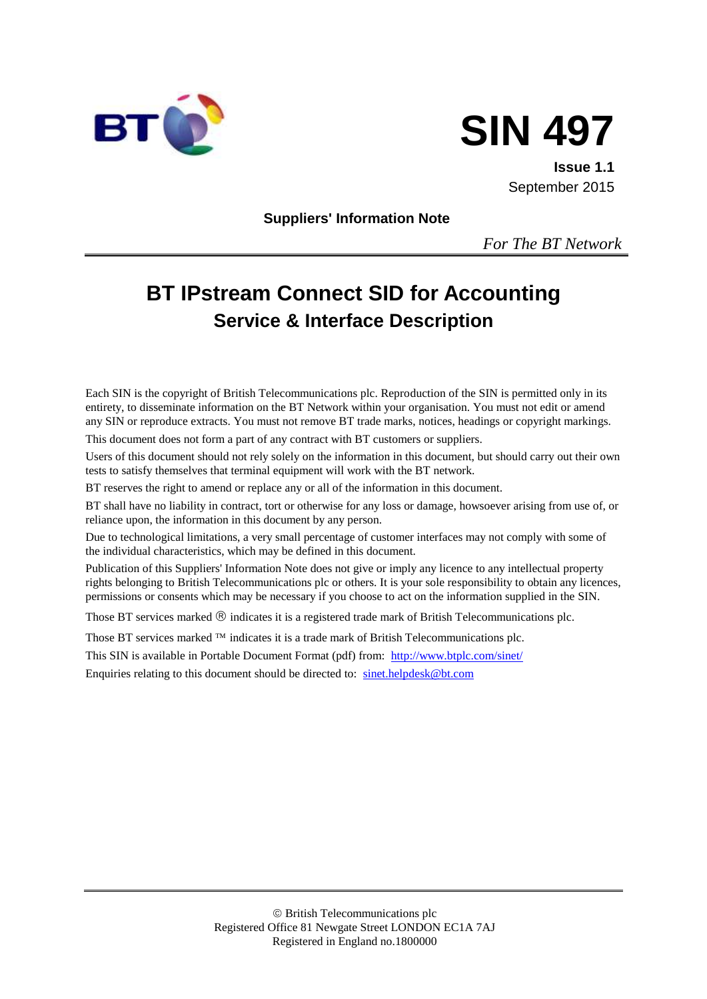



**Issue 1.1** September 2015

**Suppliers' Information Note**

*For The BT Network*

# **BT IPstream Connect SID for Accounting Service & Interface Description**

Each SIN is the copyright of British Telecommunications plc. Reproduction of the SIN is permitted only in its entirety, to disseminate information on the BT Network within your organisation. You must not edit or amend any SIN or reproduce extracts. You must not remove BT trade marks, notices, headings or copyright markings.

This document does not form a part of any contract with BT customers or suppliers.

Users of this document should not rely solely on the information in this document, but should carry out their own tests to satisfy themselves that terminal equipment will work with the BT network.

BT reserves the right to amend or replace any or all of the information in this document.

BT shall have no liability in contract, tort or otherwise for any loss or damage, howsoever arising from use of, or reliance upon, the information in this document by any person.

Due to technological limitations, a very small percentage of customer interfaces may not comply with some of the individual characteristics, which may be defined in this document.

Publication of this Suppliers' Information Note does not give or imply any licence to any intellectual property rights belonging to British Telecommunications plc or others. It is your sole responsibility to obtain any licences, permissions or consents which may be necessary if you choose to act on the information supplied in the SIN.

Those BT services marked  $\mathcal{R}$  indicates it is a registered trade mark of British Telecommunications plc.

Those BT services marked  $TM$  indicates it is a trade mark of British Telecommunications plc.

This SIN is available in Portable Document Format (pdf) from: <http://www.btplc.com/sinet/>

Enquiries relating to this document should be directed to: [sinet.helpdesk@bt.com](mailto:sinet.helpdesk@bt.com)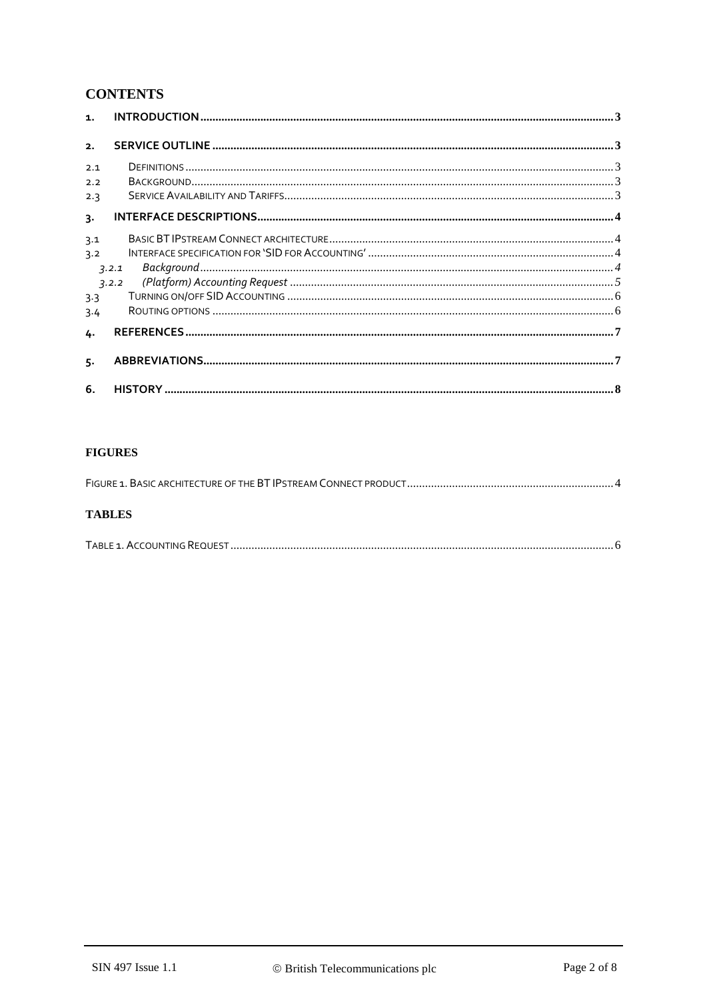# **CONTENTS**

| $\mathbf{1}$ .           |                                                                                                                                                                                                                                                                                                                                                                                                                                                                                                                                                                                     |  |
|--------------------------|-------------------------------------------------------------------------------------------------------------------------------------------------------------------------------------------------------------------------------------------------------------------------------------------------------------------------------------------------------------------------------------------------------------------------------------------------------------------------------------------------------------------------------------------------------------------------------------|--|
| 2.                       |                                                                                                                                                                                                                                                                                                                                                                                                                                                                                                                                                                                     |  |
| 2.1<br>2.2<br>2.3        | $\qquad \qquad \textbf{DEFINITIONS} \qquad \qquad \dots \qquad \qquad \dots \qquad \qquad \dots \qquad \qquad \dots \qquad \qquad \dots \qquad \qquad \dots \qquad \qquad \dots \qquad \qquad \dots \qquad \qquad \dots \qquad \qquad \dots \qquad \dots \qquad \dots \qquad \dots \qquad \dots \qquad \dots \qquad \dots \qquad \dots \qquad \dots \qquad \dots \qquad \dots \qquad \dots \qquad \dots \qquad \dots \qquad \dots \qquad \dots \qquad \dots \qquad \dots \qquad \dots \qquad \dots \qquad \dots \qquad \dots \qquad \dots \qquad \dots \qquad \dots \qquad \dots \$ |  |
| 3.                       |                                                                                                                                                                                                                                                                                                                                                                                                                                                                                                                                                                                     |  |
| 3.1<br>3.2<br>3.3<br>3.4 | $\textit{Background}.\textit{}.\textit{}.\textit{}.\textit{}.\textit{}.\textit{}.\textit{}.\textit{}.\textit{}.\textit{}.\textit{}$<br>3.2.1<br>3.2.2                                                                                                                                                                                                                                                                                                                                                                                                                               |  |
| 4.<br>5.                 |                                                                                                                                                                                                                                                                                                                                                                                                                                                                                                                                                                                     |  |
| 6.                       |                                                                                                                                                                                                                                                                                                                                                                                                                                                                                                                                                                                     |  |

#### **FIGURES**

|--|

#### **TABLES**

|--|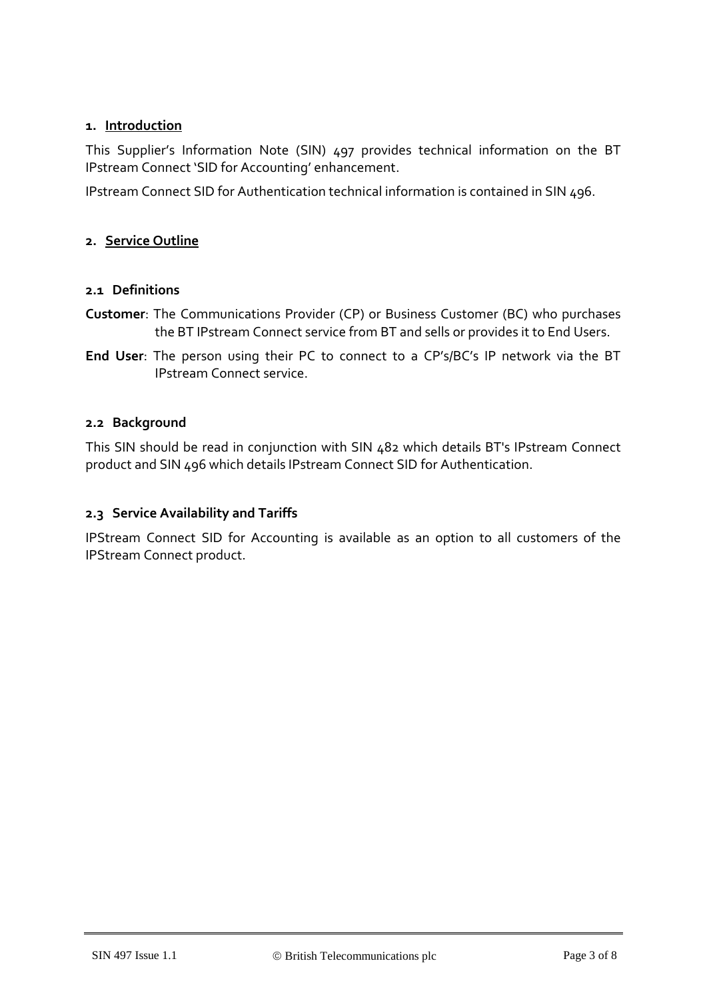#### **1. Introduction**

This Supplier's Information Note (SIN) 497 provides technical information on the BT IPstream Connect 'SID for Accounting' enhancement.

IPstream Connect SID for Authentication technical information is contained in SIN 496.

#### **2. Service Outline**

#### **2.1 Definitions**

- **Customer**: The Communications Provider (CP) or Business Customer (BC) who purchases the BT IPstream Connect service from BT and sells or provides it to End Users.
- **End User**: The person using their PC to connect to a CP's/BC's IP network via the BT IPstream Connect service.

#### **2.2 Background**

This SIN should be read in conjunction with SIN 482 which details BT's IPstream Connect product and SIN 496 which details IPstream Connect SID for Authentication.

#### **2.3 Service Availability and Tariffs**

IPStream Connect SID for Accounting is available as an option to all customers of the IPStream Connect product.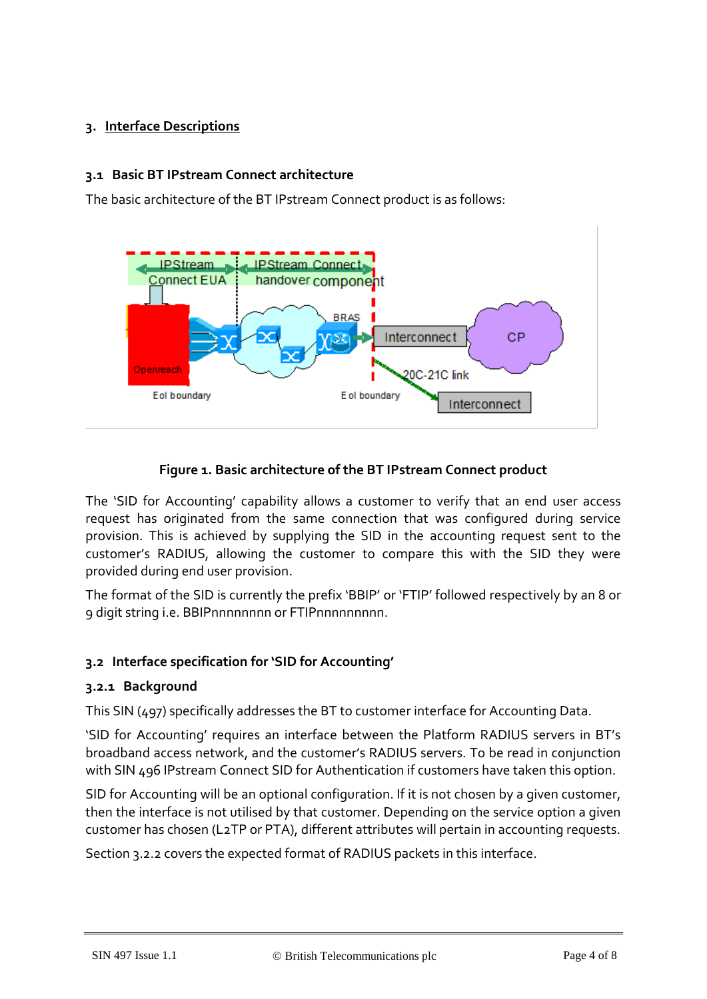## **3. Interface Descriptions**

#### **3.1 Basic BT IPstream Connect architecture**

The basic architecture of the BT IPstream Connect product is as follows:



#### **Figure 1. Basic architecture of the BT IPstream Connect product**

The 'SID for Accounting' capability allows a customer to verify that an end user access request has originated from the same connection that was configured during service provision. This is achieved by supplying the SID in the accounting request sent to the customer's RADIUS, allowing the customer to compare this with the SID they were provided during end user provision.

The format of the SID is currently the prefix 'BBIP' or 'FTIP' followed respectively by an 8 or 9 digit string i.e. BBIPnnnnnnnn or FTIPnnnnnnnnn.

#### **3.2 Interface specification for 'SID for Accounting'**

#### **3.2.1 Background**

This SIN (497) specifically addresses the BT to customer interface for Accounting Data.

'SID for Accounting' requires an interface between the Platform RADIUS servers in BT's broadband access network, and the customer's RADIUS servers. To be read in conjunction with SIN 496 IPstream Connect SID for Authentication if customers have taken this option.

SID for Accounting will be an optional configuration. If it is not chosen by a given customer, then the interface is not utilised by that customer. Depending on the service option a given customer has chosen (L2TP or PTA), different attributes will pertain in accounting requests.

Section [3.2.2](#page-4-0) covers the expected format of RADIUS packets in this interface.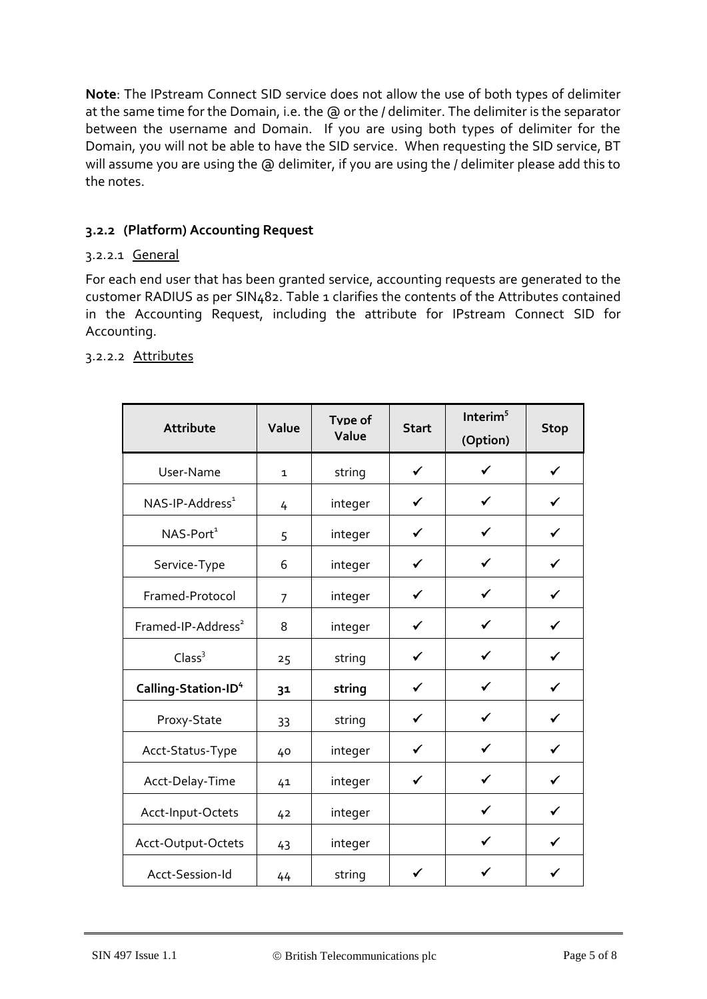**Note**: The IPstream Connect SID service does not allow the use of both types of delimiter at the same time for the Domain, i.e. the @ or the / delimiter. The delimiter is the separator between the username and Domain. If you are using both types of delimiter for the Domain, you will not be able to have the SID service. When requesting the SID service, BT will assume you are using the @ delimiter, if you are using the / delimiter please add this to the notes.

## <span id="page-4-0"></span>**3.2.2 (Platform) Accounting Request**

#### 3.2.2.1 General

For each end user that has been granted service, accounting requests are generated to the customer RADIUS as per SIN482. [Table 1](#page-5-0) clarifies the contents of the Attributes contained in the Accounting Request, including the attribute for IPstream Connect SID for Accounting.

| Attribute                       | Value        | Type of<br>Value | <b>Start</b> | Interim $5$<br>(Option) | <b>Stop</b>  |
|---------------------------------|--------------|------------------|--------------|-------------------------|--------------|
| User-Name                       | $\mathbf{1}$ | string           | $\checkmark$ | ✓                       | ✓            |
| NAS-IP-Address <sup>1</sup>     | 4            | integer          | ✔            |                         |              |
| $NAS-Port1$                     | 5            | integer          | $\checkmark$ | $\checkmark$            | ✓            |
| Service-Type                    | 6            | integer          | $\checkmark$ | ✓                       | ✓            |
| Framed-Protocol                 | 7            | integer          | ✓            | ✔                       | ✓            |
| Framed-IP-Address <sup>2</sup>  | 8            | integer          | $\checkmark$ |                         | ✓            |
| Class <sup>3</sup>              | 25           | string           | ✔            |                         | ✔            |
| Calling-Station-ID <sup>4</sup> | 31           | string           | $\checkmark$ | ✓                       | $\checkmark$ |
| Proxy-State                     | 33           | string           | $\checkmark$ | $\checkmark$            | ✓            |
| Acct-Status-Type                | 40           | integer          | $\checkmark$ | $\checkmark$            | $\checkmark$ |
| Acct-Delay-Time                 | 41           | integer          | $\checkmark$ |                         | ✓            |
| Acct-Input-Octets               | 42           | integer          |              |                         | ✔            |
| Acct-Output-Octets              | 43           | integer          |              | $\checkmark$            | ✓            |
| Acct-Session-Id                 | 44           | string           | ✓            |                         |              |

#### 3.2.2.2 Attributes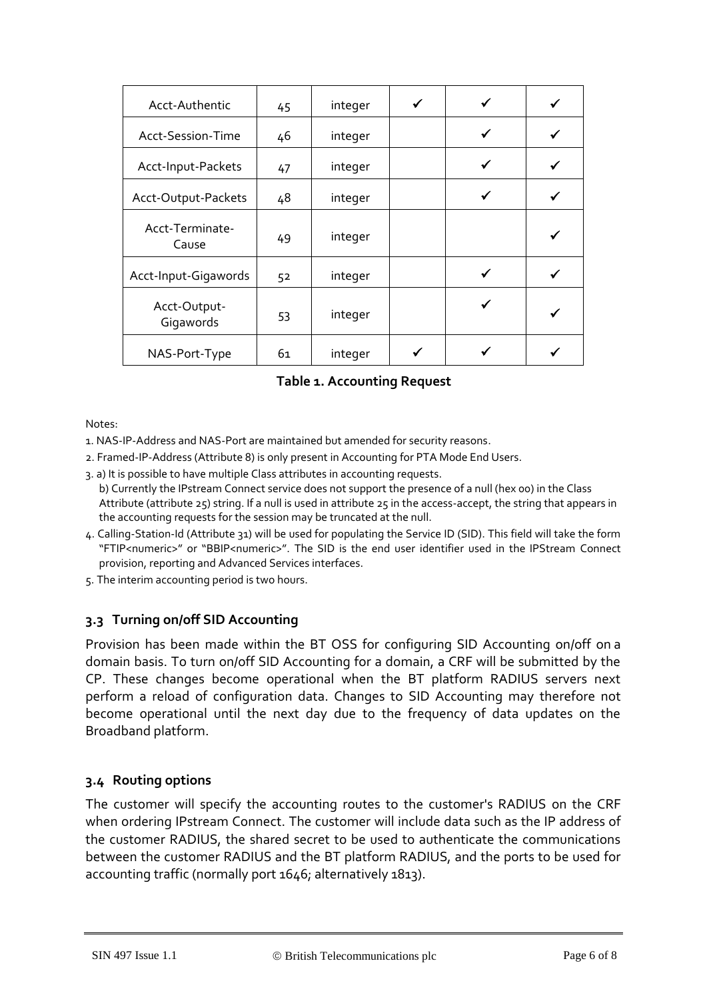| Acct-Authentic            | 45 | integer |   |  |
|---------------------------|----|---------|---|--|
| Acct-Session-Time         | 46 | integer | ✔ |  |
| Acct-Input-Packets        | 47 | integer |   |  |
| Acct-Output-Packets       | 48 | integer |   |  |
| Acct-Terminate-<br>Cause  | 49 | integer |   |  |
| Acct-Input-Gigawords      | 52 | integer | ✓ |  |
| Acct-Output-<br>Gigawords | 53 | integer |   |  |
| NAS-Port-Type             | 61 | integer |   |  |

**Table 1. Accounting Request** 

<span id="page-5-0"></span>Notes:

- 1. NAS-IP-Address and NAS-Port are maintained but amended for security reasons.
- 2. Framed-IP-Address (Attribute 8) is only present in Accounting for PTA Mode End Users.
- 3. a) It is possible to have multiple Class attributes in accounting requests.
- b) Currently the IPstream Connect service does not support the presence of a null (hex 00) in the Class Attribute (attribute 25) string. If a null is used in attribute 25 in the access-accept, the string that appears in the accounting requests for the session may be truncated at the null.
- 4. Calling-Station-Id (Attribute 31) will be used for populating the Service ID (SID). This field will take the form "FTIP<numeric>" or "BBIP<numeric>". The SID is the end user identifier used in the IPStream Connect provision, reporting and Advanced Services interfaces.
- 5. The interim accounting period is two hours.

#### **3.3 Turning on/off SID Accounting**

Provision has been made within the BT OSS for configuring SID Accounting on/off on a domain basis. To turn on/off SID Accounting for a domain, a CRF will be submitted by the CP. These changes become operational when the BT platform RADIUS servers next perform a reload of configuration data. Changes to SID Accounting may therefore not become operational until the next day due to the frequency of data updates on the Broadband platform.

#### **3.4 Routing options**

The customer will specify the accounting routes to the customer's RADIUS on the CRF when ordering IPstream Connect. The customer will include data such as the IP address of the customer RADIUS, the shared secret to be used to authenticate the communications between the customer RADIUS and the BT platform RADIUS, and the ports to be used for accounting traffic (normally port 1646; alternatively 1813).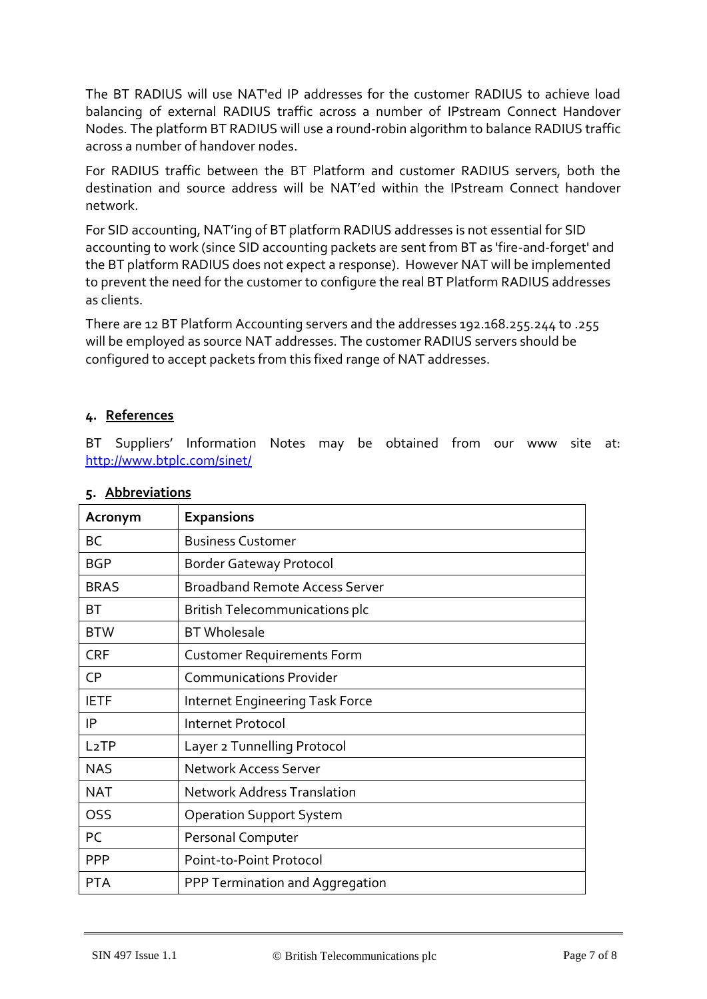The BT RADIUS will use NAT'ed IP addresses for the customer RADIUS to achieve load balancing of external RADIUS traffic across a number of IPstream Connect Handover Nodes. The platform BT RADIUS will use a round-robin algorithm to balance RADIUS traffic across a number of handover nodes.

For RADIUS traffic between the BT Platform and customer RADIUS servers, both the destination and source address will be NAT'ed within the IPstream Connect handover network.

For SID accounting, NAT'ing of BT platform RADIUS addresses is not essential for SID accounting to work (since SID accounting packets are sent from BT as 'fire-and-forget' and the BT platform RADIUS does not expect a response). However NAT will be implemented to prevent the need for the customer to configure the real BT Platform RADIUS addresses as clients.

There are 12 BT Platform Accounting servers and the addresses 192.168.255.244 to .255 will be employed as source NAT addresses. The customer RADIUS servers should be configured to accept packets from this fixed range of NAT addresses.

#### **4. References**

BT Suppliers' Information Notes may be obtained from our www site at: <http://www.btplc.com/sinet/>

| Acronym                                              | <b>Expansions</b>                  |  |  |
|------------------------------------------------------|------------------------------------|--|--|
| BC                                                   | <b>Business Customer</b>           |  |  |
| BGP                                                  | <b>Border Gateway Protocol</b>     |  |  |
| <b>Broadband Remote Access Server</b><br><b>BRAS</b> |                                    |  |  |
| BТ                                                   | British Telecommunications plc     |  |  |
| <b>BT</b> Wholesale<br><b>BTW</b>                    |                                    |  |  |
| <b>CRF</b><br><b>Customer Requirements Form</b>      |                                    |  |  |
| <b>CP</b><br><b>Communications Provider</b>          |                                    |  |  |
| <b>IETF</b><br>Internet Engineering Task Force       |                                    |  |  |
| ΙP<br>Internet Protocol                              |                                    |  |  |
| L <sub>2</sub> TP<br>Layer 2 Tunnelling Protocol     |                                    |  |  |
| <b>NAS</b>                                           | <b>Network Access Server</b>       |  |  |
| <b>NAT</b>                                           | <b>Network Address Translation</b> |  |  |
| OSS                                                  | <b>Operation Support System</b>    |  |  |
| PC<br>Personal Computer                              |                                    |  |  |
| <b>PPP</b>                                           | Point-to-Point Protocol            |  |  |
| <b>PTA</b>                                           | PPP Termination and Aggregation    |  |  |

#### **5. Abbreviations**